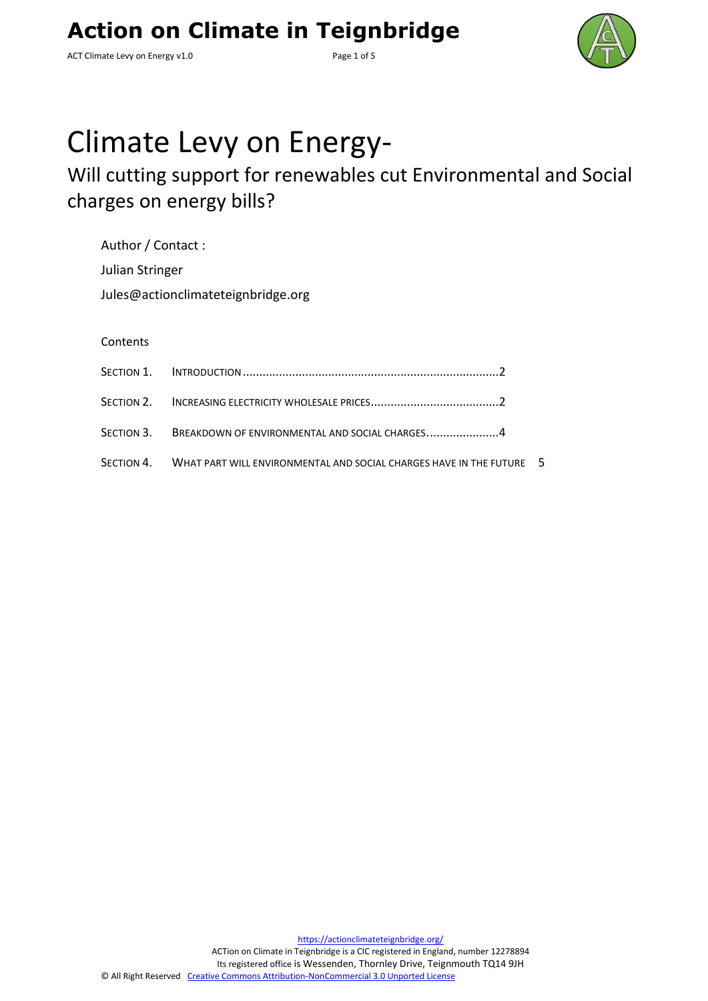ACT Climate Levy on Energy v1.0 example 2 and 5 Page 1 of 5



# Climate Levy on Energy-

## Will cutting support for renewables cut Environmental and Social charges on energy bills?

| Author / Contact:                  |
|------------------------------------|
| Julian Stringer                    |
| Jules@actionclimateteignbridge.org |

#### **Contents**

| SECTION 3. BREAKDOWN OF ENVIRONMENTAL AND SOCIAL CHARGES4                       |  |
|---------------------------------------------------------------------------------|--|
| SECTION 4. WHAT PART WILL ENVIRONMENTAL AND SOCIAL CHARGES HAVE IN THE FUTURE 5 |  |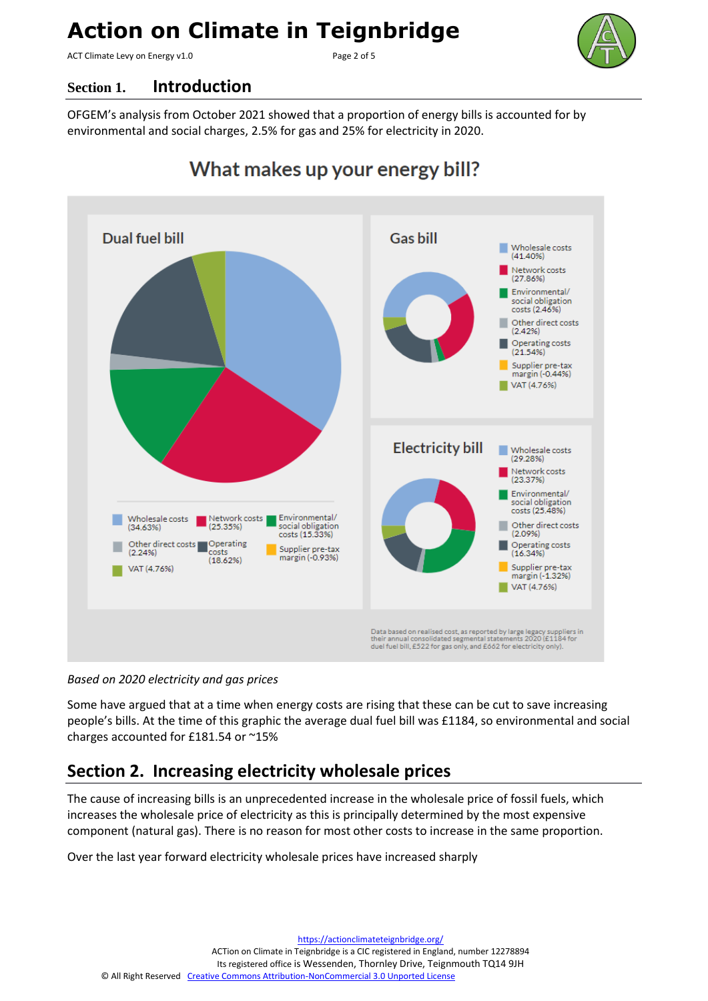ACT Climate Levy on Energy v1.0 example 2 of 5



#### <span id="page-1-0"></span>**Section 1. Introduction**

OFGEM's analysis from October 2021 showed that a proportion of energy bills is accounted for by environmental and social charges, 2.5% for gas and 25% for electricity in 2020.



### What makes up your energy bill?

*Based on 2020 electricity and gas prices*

Some have argued that at a time when energy costs are rising that these can be cut to save increasing people's bills. At the time of this graphic the average dual fuel bill was £1184, so environmental and social charges accounted for £181.54 or ~15%

#### <span id="page-1-1"></span>**Section 2. Increasing electricity wholesale prices**

The cause of increasing bills is an unprecedented increase in the wholesale price of fossil fuels, which increases the wholesale price of electricity as this is principally determined by the most expensive component (natural gas). There is no reason for most other costs to increase in the same proportion.

Over the last year forward electricity wholesale prices have increased sharply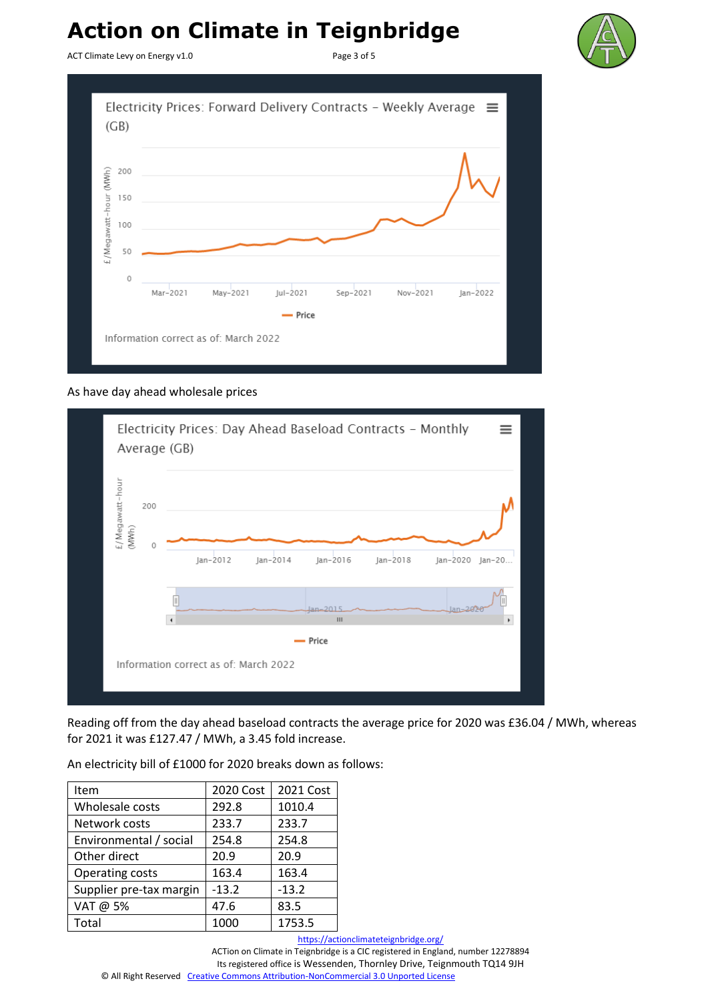ACT Climate Levy on Energy v1.0 example 2 of 5





#### As have day ahead wholesale prices



Reading off from the day ahead baseload contracts the average price for 2020 was £36.04 / MWh, whereas for 2021 it was £127.47 / MWh, a 3.45 fold increase.

An electricity bill of £1000 for 2020 breaks down as follows:

| Item                    | 2020 Cost | 2021 Cost |
|-------------------------|-----------|-----------|
| Wholesale costs         | 292.8     | 1010.4    |
| Network costs           | 233.7     | 233.7     |
| Environmental / social  | 254.8     | 254.8     |
| Other direct            | 20.9      | 20.9      |
| Operating costs         | 163.4     | 163.4     |
| Supplier pre-tax margin | $-13.2$   | $-13.2$   |
| VAT @ 5%                | 47.6      | 83.5      |
| Total                   | 1000      | 1753.5    |

<https://actionclimateteignbridge.org/>

ACTion on Climate in Teignbridge is a CIC registered in England, number 12278894 Its registered office is Wessenden, Thornley Drive, Teignmouth TQ14 9JH

© All Right Reserved [Creative Commons Attribution-NonCommercial 3.0 Unported License](http://creativecommons.org/licenses/by-nc/3.0/)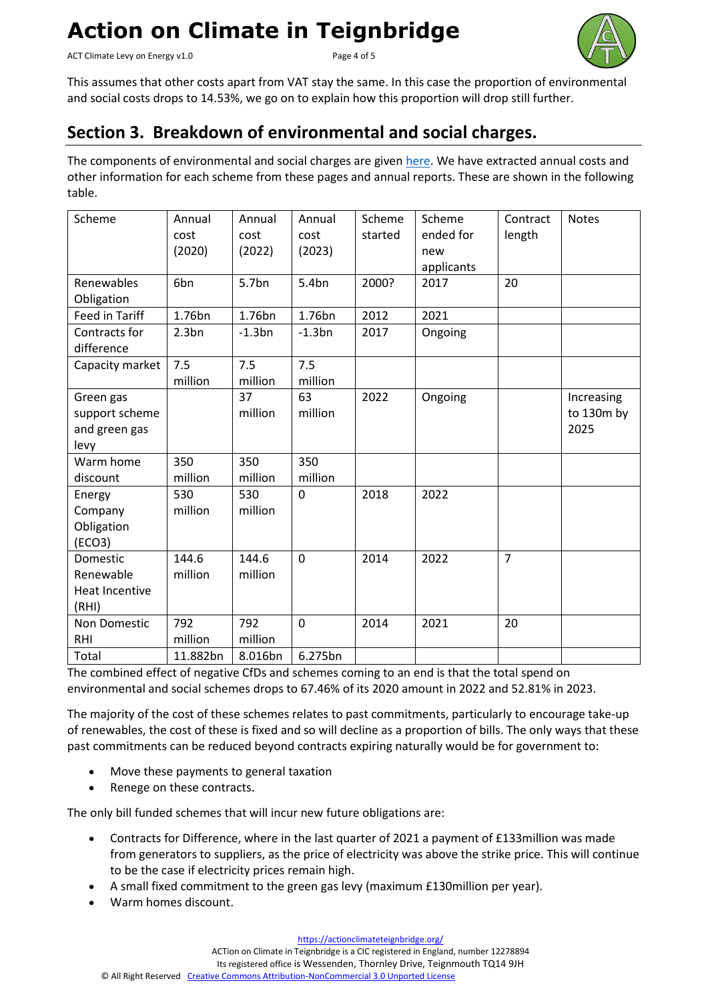ACT Climate Levy on Energy v1.0 example 2 and 5 Page 4 of 5



This assumes that other costs apart from VAT stay the same. In this case the proportion of environmental and social costs drops to 14.53%, we go on to explain how this proportion will drop still further.

#### <span id="page-3-0"></span>**Section 3. Breakdown of environmental and social charges.**

The components of environmental and social charges are given [here.](https://www.ofgem.gov.uk/environmental-and-social-schemes) We have extracted annual costs and other information for each scheme from these pages and annual reports. These are shown in the following table.

| Scheme                                               | Annual<br>cost<br>(2020) | Annual<br>cost<br>(2022) | Annual<br>cost<br>(2023) | Scheme<br>started | Scheme<br>ended for<br>new<br>applicants | Contract<br>length | <b>Notes</b>                     |
|------------------------------------------------------|--------------------------|--------------------------|--------------------------|-------------------|------------------------------------------|--------------------|----------------------------------|
| Renewables<br>Obligation                             | 6bn                      | 5.7bn                    | 5.4bn                    | 2000?             | 2017                                     | 20                 |                                  |
| Feed in Tariff                                       | 1.76bn                   | 1.76bn                   | 1.76bn                   | 2012              | 2021                                     |                    |                                  |
| Contracts for<br>difference                          | 2.3 <sub>bn</sub>        | $-1.3bn$                 | $-1.3bn$                 | 2017              | Ongoing                                  |                    |                                  |
| Capacity market                                      | 7.5<br>million           | 7.5<br>million           | 7.5<br>million           |                   |                                          |                    |                                  |
| Green gas<br>support scheme<br>and green gas<br>levy |                          | 37<br>million            | 63<br>million            | 2022              | Ongoing                                  |                    | Increasing<br>to 130m by<br>2025 |
| Warm home<br>discount                                | 350<br>million           | 350<br>million           | 350<br>million           |                   |                                          |                    |                                  |
| Energy<br>Company<br>Obligation<br>(ECO3)            | 530<br>million           | 530<br>million           | $\mathbf 0$              | 2018              | 2022                                     |                    |                                  |
| Domestic<br>Renewable<br>Heat Incentive<br>(RHI)     | 144.6<br>million         | 144.6<br>million         | $\mathbf 0$              | 2014              | 2022                                     | $\overline{7}$     |                                  |
| Non Domestic<br><b>RHI</b>                           | 792<br>million           | 792<br>million           | $\mathbf 0$              | 2014              | 2021                                     | 20                 |                                  |
| Total                                                | 11.882bn                 | 8.016bn                  | 6.275bn                  |                   |                                          |                    |                                  |

The combined effect of negative CfDs and schemes coming to an end is that the total spend on environmental and social schemes drops to 67.46% of its 2020 amount in 2022 and 52.81% in 2023.

The majority of the cost of these schemes relates to past commitments, particularly to encourage take-up of renewables, the cost of these is fixed and so will decline as a proportion of bills. The only ways that these past commitments can be reduced beyond contracts expiring naturally would be for government to:

- Move these payments to general taxation
- Renege on these contracts.

The only bill funded schemes that will incur new future obligations are:

- Contracts for Difference, where in the last quarter of 2021 a payment of £133million was made from generators to suppliers, as the price of electricity was above the strike price. This will continue to be the case if electricity prices remain high.
- A small fixed commitment to the green gas levy (maximum £130million per year).
- Warm homes discount.